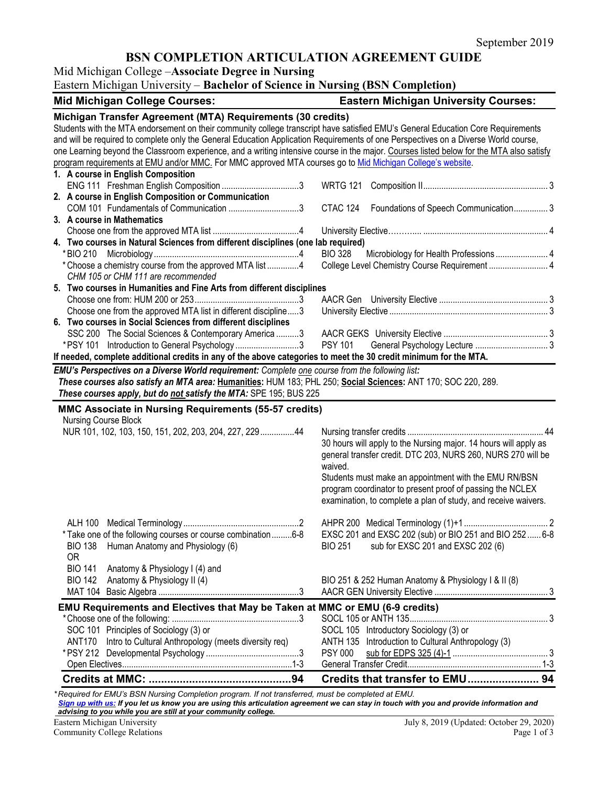# **BSN COMPLETION ARTICULATION AGREEMENT GUIDE**

Mid Michigan College –**Associate Degree in Nursing**

Eastern Michigan University – **Bachelor of Science in Nursing (BSN Completion)**

| <b>Mid Michigan College Courses:</b>                                                                                                     | <b>Eastern Michigan University Courses:</b>                      |
|------------------------------------------------------------------------------------------------------------------------------------------|------------------------------------------------------------------|
| Michigan Transfer Agreement (MTA) Requirements (30 credits)                                                                              |                                                                  |
| Students with the MTA endorsement on their community college transcript have satisfied EMU's General Education Core Requirements         |                                                                  |
| and will be required to complete only the General Education Application Requirements of one Perspectives on a Diverse World course,      |                                                                  |
| one Learning beyond the Classroom experience, and a writing intensive course in the major. Courses listed below for the MTA also satisfy |                                                                  |
| program requirements at EMU and/or MMC. For MMC approved MTA courses go to Mid Michigan College's website.                               |                                                                  |
| 1. A course in English Composition                                                                                                       |                                                                  |
| ENG 111 Freshman English Composition 3                                                                                                   |                                                                  |
| 2. A course in English Composition or Communication                                                                                      |                                                                  |
| COM 101 Fundamentals of Communication 3                                                                                                  | CTAC 124 Foundations of Speech Communication 3                   |
| 3. A course in Mathematics                                                                                                               |                                                                  |
|                                                                                                                                          |                                                                  |
| 4. Two courses in Natural Sciences from different disciplines (one lab required)                                                         |                                                                  |
| * BIO 210                                                                                                                                | <b>BIO 328</b>                                                   |
| * Choose a chemistry course from the approved MTA list 4                                                                                 | College Level Chemistry Course Requirement  4                    |
| CHM 105 or CHM 111 are recommended                                                                                                       |                                                                  |
| 5. Two courses in Humanities and Fine Arts from different disciplines                                                                    |                                                                  |
|                                                                                                                                          |                                                                  |
| Choose one from the approved MTA list in different discipline3                                                                           |                                                                  |
| 6. Two courses in Social Sciences from different disciplines                                                                             |                                                                  |
| SSC 200 The Social Sciences & Contemporary America 3                                                                                     |                                                                  |
| *PSY 101 Introduction to General Psychology 3                                                                                            | <b>PSY 101</b>                                                   |
| If needed, complete additional credits in any of the above categories to meet the 30 credit minimum for the MTA.                         |                                                                  |
| EMU's Perspectives on a Diverse World requirement: Complete one course from the following list:                                          |                                                                  |
| These courses also satisfy an MTA area: Humanities: HUM 183; PHL 250; Social Sciences: ANT 170; SOC 220, 289.                            |                                                                  |
| These courses apply, but do not satisfy the MTA: SPE 195; BUS 225                                                                        |                                                                  |
|                                                                                                                                          |                                                                  |
| MMC Associate in Nursing Requirements (55-57 credits)                                                                                    |                                                                  |
| Nursing Course Block                                                                                                                     |                                                                  |
| NUR 101, 102, 103, 150, 151, 202, 203, 204, 227, 229 44                                                                                  |                                                                  |
|                                                                                                                                          | 30 hours will apply to the Nursing major. 14 hours will apply as |
|                                                                                                                                          | general transfer credit. DTC 203, NURS 260, NURS 270 will be     |
|                                                                                                                                          | waived.                                                          |
|                                                                                                                                          | Students must make an appointment with the EMU RN/BSN            |
|                                                                                                                                          | program coordinator to present proof of passing the NCLEX        |
|                                                                                                                                          | examination, to complete a plan of study, and receive waivers.   |
|                                                                                                                                          |                                                                  |
|                                                                                                                                          |                                                                  |
| *Take one of the following courses or course combination  6-8                                                                            | EXSC 201 and EXSC 202 (sub) or BIO 251 and BIO 252<br>6-8        |
| BIO 138 Human Anatomy and Physiology (6)                                                                                                 | BIO 251 sub for EXSC 201 and EXSC 202 (6)                        |
| 0R                                                                                                                                       |                                                                  |
| <b>BIO 141</b><br>Anatomy & Physiology I (4) and                                                                                         |                                                                  |
| <b>BIO 142</b><br>Anatomy & Physiology II (4)                                                                                            | BIO 251 & 252 Human Anatomy & Physiology I & II (8)              |
|                                                                                                                                          |                                                                  |
| EMU Requirements and Electives that May be Taken at MMC or EMU (6-9 credits)                                                             |                                                                  |
|                                                                                                                                          |                                                                  |
| SOC 101 Principles of Sociology (3) or                                                                                                   | SOCL 105 Introductory Sociology (3) or                           |
| ANT170 Intro to Cultural Anthropology (meets diversity req)                                                                              | ANTH 135 Introduction to Cultural Anthropology (3)               |
|                                                                                                                                          |                                                                  |
|                                                                                                                                          |                                                                  |
|                                                                                                                                          | Credits that transfer to EMU 94                                  |
|                                                                                                                                          |                                                                  |

*\* Required for EMU's BSN Nursing Completion program. If not transferred, must be completed at EMU. [Sign up with us:](https://www.emich.edu/ccr/articulation-agreements/signup.php) If you let us know you are using this articulation agreement we can stay in touch with you and provide information and advising to you while you are still at your community college.*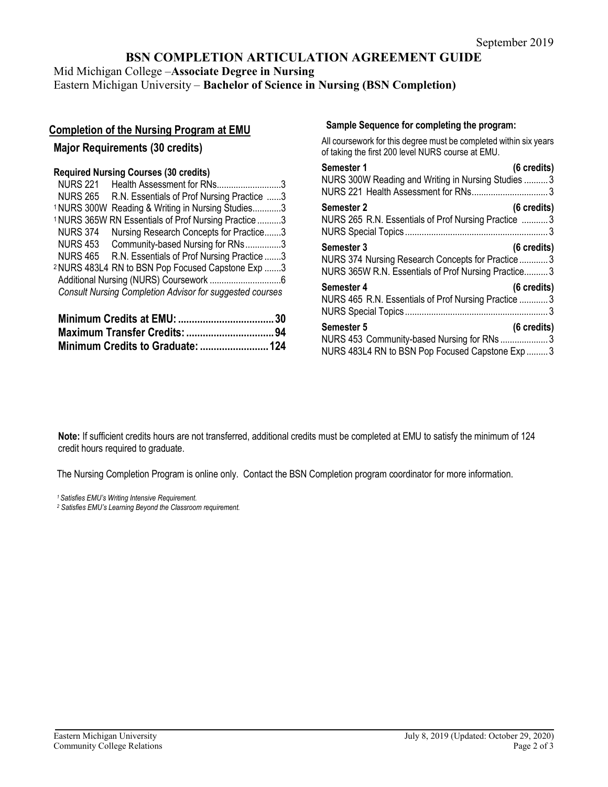## **BSN COMPLETION ARTICULATION AGREEMENT GUIDE**

Mid Michigan College –**Associate Degree in Nursing** Eastern Michigan University – **Bachelor of Science in Nursing (BSN Completion)**

### **Completion of the Nursing Program at EMU**

#### **Major Requirements (30 credits)**

#### **Required Nursing Courses (30 credits)**

| <b>NURS 221</b> | Health Assessment for RNs3                                      |  |
|-----------------|-----------------------------------------------------------------|--|
| <b>NURS 265</b> | R.N. Essentials of Prof Nursing Practice 3                      |  |
|                 | <sup>1</sup> NURS 300W Reading & Writing in Nursing Studies3    |  |
|                 | <sup>1</sup> NURS 365W RN Essentials of Prof Nursing Practice 3 |  |
| <b>NURS 374</b> | Nursing Research Concepts for Practice3                         |  |
| <b>NURS 453</b> | Community-based Nursing for RNs3                                |  |
| <b>NURS 465</b> | R.N. Essentials of Prof Nursing Practice 3                      |  |
|                 | <sup>2</sup> NURS 483L4 RN to BSN Pop Focused Capstone Exp 3    |  |
|                 |                                                                 |  |
|                 | <b>Consult Nursing Completion Advisor for suggested courses</b> |  |
|                 |                                                                 |  |

| Minimum Credits to Graduate:  124 |  |
|-----------------------------------|--|

#### **Sample Sequence for completing the program:**

All coursework for this degree must be completed within six years of taking the first 200 level NURS course at EMU.

| (6 credits)<br>Semester 1                                                                                                                             |
|-------------------------------------------------------------------------------------------------------------------------------------------------------|
| NURS 300W Reading and Writing in Nursing Studies  3                                                                                                   |
| $(6 \text{ credits})$<br><b>Semester 2</b><br>NURS 265 R.N. Essentials of Prof Nursing Practice  3                                                    |
| <b>Semester 3</b><br>$(6 \text{ credits})$<br>NURS 374 Nursing Research Concepts for Practice3<br>NURS 365W R.N. Essentials of Prof Nursing Practice3 |
| (6 credits)<br>Semester 4<br>NURS 465 R.N. Essentials of Prof Nursing Practice  3                                                                     |
| (6 credits)<br><b>Semester 5</b><br>NURS 453 Community-based Nursing for RNs3<br>NURS 483L4 RN to BSN Pop Focused Capstone Exp  3                     |

**Note:** If sufficient credits hours are not transferred, additional credits must be completed at EMU to satisfy the minimum of 124 credit hours required to graduate.

The Nursing Completion Program is online only. Contact the BSN Completion program coordinator for more information.

*1 Satisfies EMU's Writing Intensive Requirement.*

*<sup>2</sup> Satisfies EMU's Learning Beyond the Classroom requirement.*